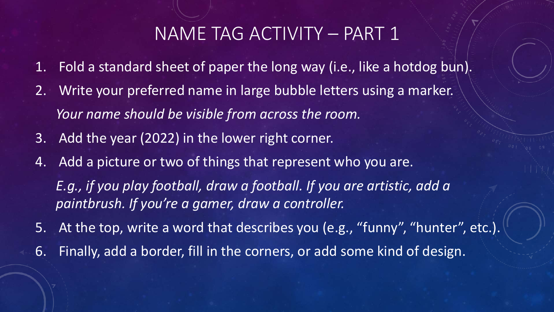## NAME TAG ACTIVITY – PART 1

- 1. Fold a standard sheet of paper the long way (i.e., like a hotdog bun).
- 2. Write your preferred name in large bubble letters using a marker. *Your name should be visible from across the room.*
- 3. Add the year (2022) in the lower right corner.
- 4. Add a picture or two of things that represent who you are. *E.g., if you play football, draw a football. If you are artistic, add a paintbrush. If you're a gamer, draw a controller.*
- 5. At the top, write a word that describes you (e.g., "funny", "hunter", etc.).
- 6. Finally, add a border, fill in the corners, or add some kind of design.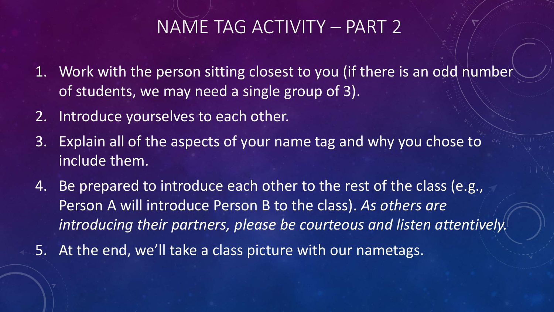## NAME TAG ACTIVITY – PART 2

- 1. Work with the person sitting closest to you (if there is an odd number of students, we may need a single group of 3).
- 2. Introduce yourselves to each other.
- 3. Explain all of the aspects of your name tag and why you chose to include them.
- 4. Be prepared to introduce each other to the rest of the class (e.g., Person A will introduce Person B to the class). *As others are introducing their partners, please be courteous and listen attentively.*
- 5. At the end, we'll take a class picture with our nametags.